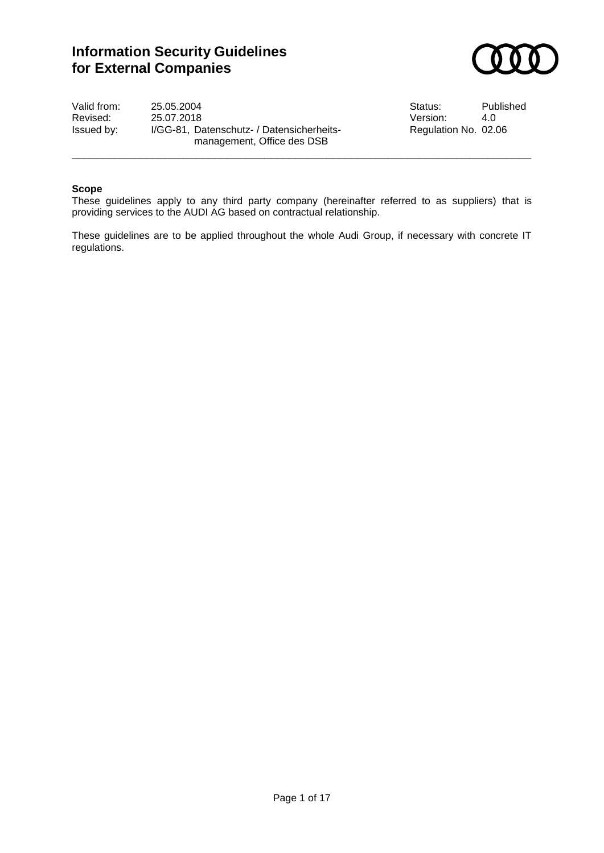# **Information Security Guidelines for External Companies**



Valid from: 25.05.2004 <br>
Revised: 25.07.2018 <br>
Revised: 25.07.2018 <br>
Status: 4.0 Revised: 25.07.2018<br>Issued by: I/GG-81, Datenschutz- / Datensicherheits- Regulation No. 02.06 I/GG-81, Datenschutz- / Datensicherheitsmanagement, Office des DSB

#### **Scope**

These guidelines apply to any third party company (hereinafter referred to as suppliers) that is providing services to the AUDI AG based on contractual relationship.

\_\_\_\_\_\_\_\_\_\_\_\_\_\_\_\_\_\_\_\_\_\_\_\_\_\_\_\_\_\_\_\_\_\_\_\_\_\_\_\_\_\_\_\_\_\_\_\_\_\_\_\_\_\_\_\_\_\_\_\_\_\_\_\_\_\_\_\_\_\_\_\_\_\_

These guidelines are to be applied throughout the whole Audi Group, if necessary with concrete IT regulations.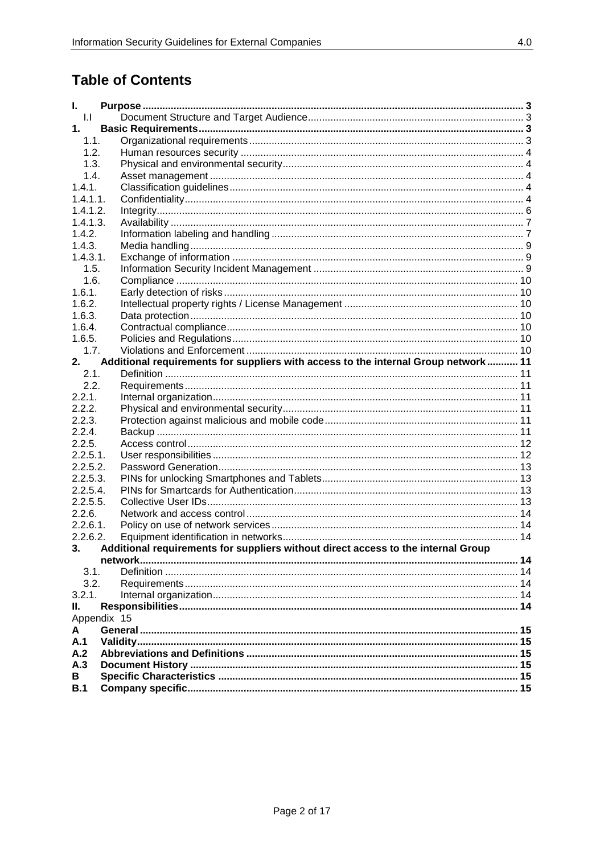# **Table of Contents**

| I.                |                                                                                    |  |  |  |  |
|-------------------|------------------------------------------------------------------------------------|--|--|--|--|
|                   | $  \cdot  $                                                                        |  |  |  |  |
| 1.                |                                                                                    |  |  |  |  |
| 1.1.              |                                                                                    |  |  |  |  |
| 1.2.              |                                                                                    |  |  |  |  |
| 1.3.              |                                                                                    |  |  |  |  |
| 1.4.              |                                                                                    |  |  |  |  |
| 1.4.1.            |                                                                                    |  |  |  |  |
| $1.4.1.1$ .       |                                                                                    |  |  |  |  |
| 1.4.1.2.          |                                                                                    |  |  |  |  |
| 1.4.1.3.          |                                                                                    |  |  |  |  |
| 1.4.2.            |                                                                                    |  |  |  |  |
| 1.4.3.            |                                                                                    |  |  |  |  |
| 1.4.3.1.          |                                                                                    |  |  |  |  |
| 1.5.              |                                                                                    |  |  |  |  |
| 1.6.              |                                                                                    |  |  |  |  |
| 1.6.1.            |                                                                                    |  |  |  |  |
| 1.6.2.            |                                                                                    |  |  |  |  |
| 1.6.3.            |                                                                                    |  |  |  |  |
| 1.6.4.            |                                                                                    |  |  |  |  |
| 1.6.5.            |                                                                                    |  |  |  |  |
| 1.7.              |                                                                                    |  |  |  |  |
| 2.                | Additional requirements for suppliers with access to the internal Group network 11 |  |  |  |  |
| 2.1.              |                                                                                    |  |  |  |  |
| 2.2.              |                                                                                    |  |  |  |  |
| 2.2.1.            |                                                                                    |  |  |  |  |
| 2.2.2.            |                                                                                    |  |  |  |  |
| 2.2.3.            |                                                                                    |  |  |  |  |
| 2.2.4.            |                                                                                    |  |  |  |  |
| 2.2.5.            |                                                                                    |  |  |  |  |
| $2.2.5.1$ .       |                                                                                    |  |  |  |  |
| 2.2.5.2.          |                                                                                    |  |  |  |  |
| 2.2.5.3.          |                                                                                    |  |  |  |  |
| 2.2.5.4.          |                                                                                    |  |  |  |  |
| 2.2.5.5.          |                                                                                    |  |  |  |  |
| 2.2.6.            |                                                                                    |  |  |  |  |
| $2.2.6.1$ .       |                                                                                    |  |  |  |  |
| 2.2.6.2.          |                                                                                    |  |  |  |  |
| 3.                | Additional requirements for suppliers without direct access to the internal Group  |  |  |  |  |
|                   |                                                                                    |  |  |  |  |
| 3.1.              |                                                                                    |  |  |  |  |
| 3.2.              |                                                                                    |  |  |  |  |
| 3.2.1.            |                                                                                    |  |  |  |  |
|                   |                                                                                    |  |  |  |  |
| Ш.<br>Appendix 15 |                                                                                    |  |  |  |  |
| A                 |                                                                                    |  |  |  |  |
| A.1               |                                                                                    |  |  |  |  |
| A.2               |                                                                                    |  |  |  |  |
| A.3               |                                                                                    |  |  |  |  |
| В                 |                                                                                    |  |  |  |  |
| B.1               |                                                                                    |  |  |  |  |
|                   |                                                                                    |  |  |  |  |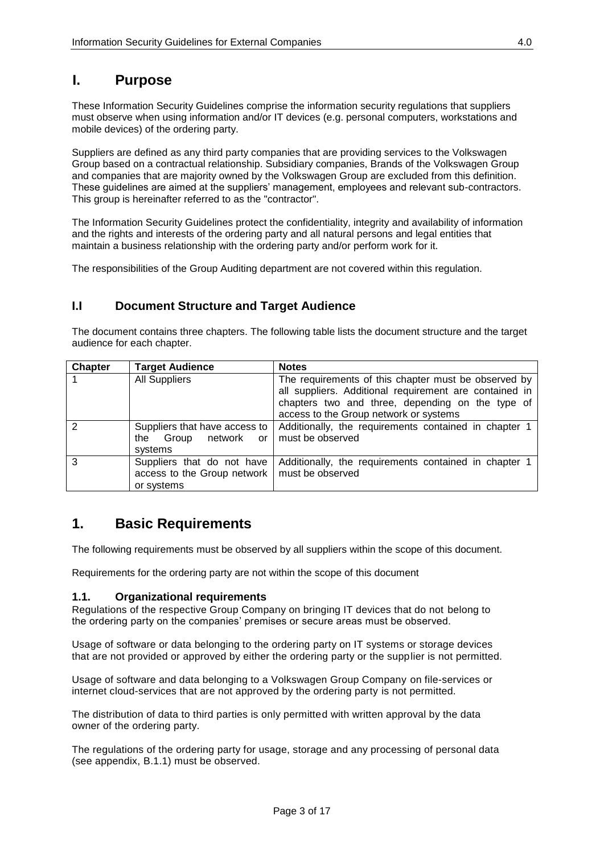# <span id="page-2-0"></span>**I. Purpose**

These Information Security Guidelines comprise the information security regulations that suppliers must observe when using information and/or IT devices (e.g. personal computers, workstations and mobile devices) of the ordering party.

Suppliers are defined as any third party companies that are providing services to the Volkswagen Group based on a contractual relationship. Subsidiary companies, Brands of the Volkswagen Group and companies that are majority owned by the Volkswagen Group are excluded from this definition. These guidelines are aimed at the suppliers' management, employees and relevant sub-contractors. This group is hereinafter referred to as the "contractor".

The Information Security Guidelines protect the confidentiality, integrity and availability of information and the rights and interests of the ordering party and all natural persons and legal entities that maintain a business relationship with the ordering party and/or perform work for it.

<span id="page-2-1"></span>The responsibilities of the Group Auditing department are not covered within this regulation.

## **I.I Document Structure and Target Audience**

The document contains three chapters. The following table lists the document structure and the target audience for each chapter.

| <b>Chapter</b> | <b>Target Audience</b>                                                              | <b>Notes</b>                                                                                                                                                                                                 |
|----------------|-------------------------------------------------------------------------------------|--------------------------------------------------------------------------------------------------------------------------------------------------------------------------------------------------------------|
|                | <b>All Suppliers</b>                                                                | The requirements of this chapter must be observed by<br>all suppliers. Additional requirement are contained in<br>chapters two and three, depending on the type of<br>access to the Group network or systems |
| 2              | Suppliers that have access to<br>the Group network or   must be observed<br>systems | Additionally, the requirements contained in chapter 1                                                                                                                                                        |
| 3              | Suppliers that do not have<br>access to the Group network<br>or systems             | Additionally, the requirements contained in chapter 1<br>must be observed                                                                                                                                    |

## <span id="page-2-2"></span>**1. Basic Requirements**

The following requirements must be observed by all suppliers within the scope of this document.

<span id="page-2-3"></span>Requirements for the ordering party are not within the scope of this document

#### **1.1. Organizational requirements**

Regulations of the respective Group Company on bringing IT devices that do not belong to the ordering party on the companies' premises or secure areas must be observed.

Usage of software or data belonging to the ordering party on IT systems or storage devices that are not provided or approved by either the ordering party or the supplier is not permitted.

Usage of software and data belonging to a Volkswagen Group Company on file-services or internet cloud-services that are not approved by the ordering party is not permitted.

The distribution of data to third parties is only permitted with written approval by the data owner of the ordering party.

The regulations of the ordering party for usage, storage and any processing of personal data (see appendix, B.1.1) must be observed.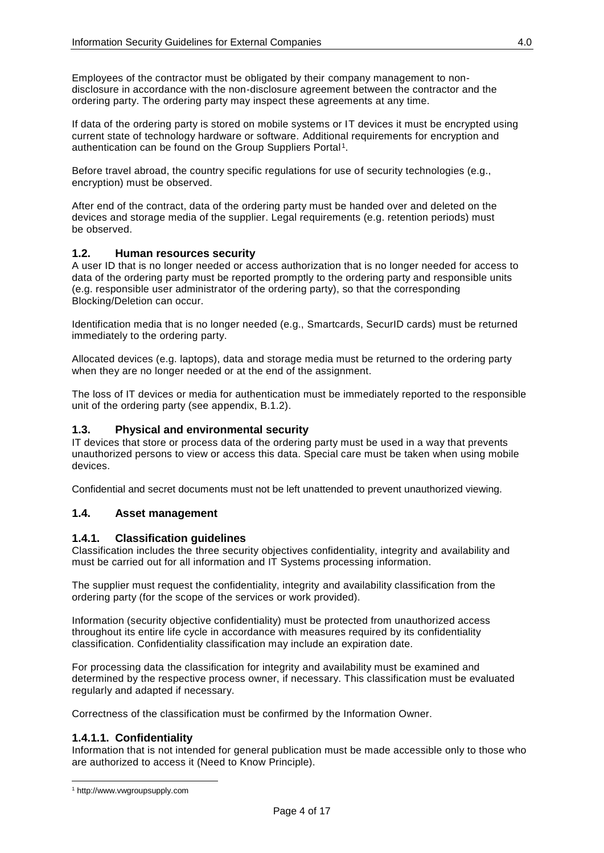Employees of the contractor must be obligated by their company management to nondisclosure in accordance with the non-disclosure agreement between the contractor and the ordering party. The ordering party may inspect these agreements at any time.

If data of the ordering party is stored on mobile systems or IT devices it must be encrypted using current state of technology hardware or software. Additional requirements for encryption and authentication can be found on the Group Suppliers Portal<sup>1</sup>.

Before travel abroad, the country specific regulations for use of security technologies (e.g., encryption) must be observed.

After end of the contract, data of the ordering party must be handed over and deleted on the devices and storage media of the supplier. Legal requirements (e.g. retention periods) must be observed.

#### <span id="page-3-0"></span>**1.2. Human resources security**

A user ID that is no longer needed or access authorization that is no longer needed for access to data of the ordering party must be reported promptly to the ordering party and responsible units (e.g. responsible user administrator of the ordering party), so that the corresponding Blocking/Deletion can occur.

Identification media that is no longer needed (e.g., Smartcards, SecurID cards) must be returned immediately to the ordering party.

Allocated devices (e.g. laptops), data and storage media must be returned to the ordering party when they are no longer needed or at the end of the assignment.

The loss of IT devices or media for authentication must be immediately reported to the responsible unit of the ordering party (see appendix, B.1.2).

#### <span id="page-3-1"></span>**1.3. Physical and environmental security**

IT devices that store or process data of the ordering party must be used in a way that prevents unauthorized persons to view or access this data. Special care must be taken when using mobile devices.

<span id="page-3-2"></span>Confidential and secret documents must not be left unattended to prevent unauthorized viewing.

#### <span id="page-3-3"></span>**1.4. Asset management**

#### **1.4.1. Classification guidelines**

Classification includes the three security objectives confidentiality, integrity and availability and must be carried out for all information and IT Systems processing information.

The supplier must request the confidentiality, integrity and availability classification from the ordering party (for the scope of the services or work provided).

Information (security objective confidentiality) must be protected from unauthorized access throughout its entire life cycle in accordance with measures required by its confidentiality classification. Confidentiality classification may include an expiration date.

For processing data the classification for integrity and availability must be examined and determined by the respective process owner, if necessary. This classification must be evaluated regularly and adapted if necessary.

<span id="page-3-4"></span>Correctness of the classification must be confirmed by the Information Owner.

## **1.4.1.1. Confidentiality**

Information that is not intended for general publication must be made accessible only to those who are authorized to access it (Need to Know Principle).

 $\overline{a}$ 

<sup>1</sup> http://www.vwgroupsupply.com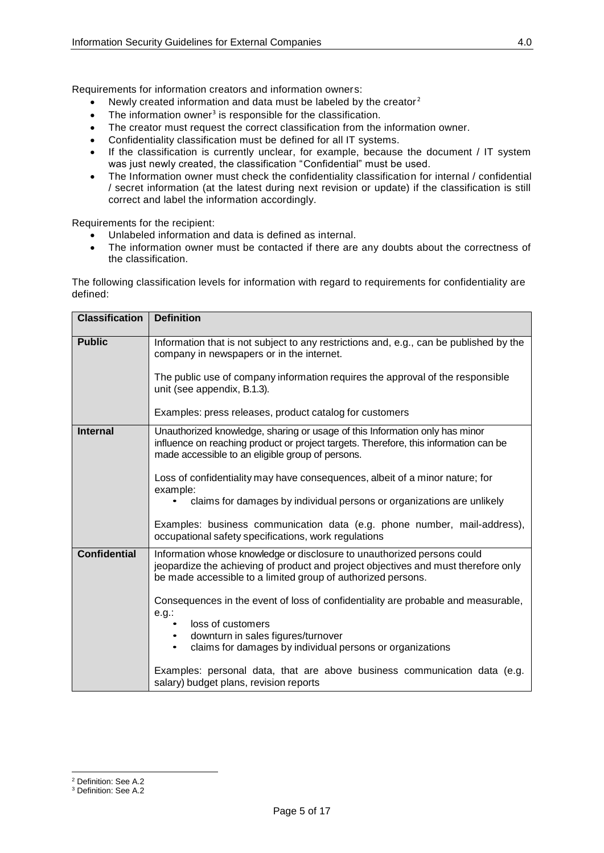Requirements for information creators and information owners:

- Newly created information and data must be labeled by the creator <sup>2</sup>
- $\bullet$  The information owner<sup>3</sup> is responsible for the classification.
- The creator must request the correct classification from the information owner.
- Confidentiality classification must be defined for all IT systems.
- If the classification is currently unclear, for example, because the document / IT system was just newly created, the classification "Confidential" must be used.
- The Information owner must check the confidentiality classification for internal / confidential / secret information (at the latest during next revision or update) if the classification is still correct and label the information accordingly.

Requirements for the recipient:

- Unlabeled information and data is defined as internal.
- The information owner must be contacted if there are any doubts about the correctness of the classification.

The following classification levels for information with regard to requirements for confidentiality are defined:

| <b>Classification</b> | <b>Definition</b>                                                                                                                                                                                                             |  |  |
|-----------------------|-------------------------------------------------------------------------------------------------------------------------------------------------------------------------------------------------------------------------------|--|--|
|                       |                                                                                                                                                                                                                               |  |  |
| <b>Public</b>         | Information that is not subject to any restrictions and, e.g., can be published by the<br>company in newspapers or in the internet.                                                                                           |  |  |
|                       | The public use of company information requires the approval of the responsible<br>unit (see appendix, B.1.3).                                                                                                                 |  |  |
|                       | Examples: press releases, product catalog for customers                                                                                                                                                                       |  |  |
| <b>Internal</b>       | Unauthorized knowledge, sharing or usage of this Information only has minor<br>influence on reaching product or project targets. Therefore, this information can be<br>made accessible to an eligible group of persons.       |  |  |
|                       | Loss of confidentiality may have consequences, albeit of a minor nature; for<br>example:<br>claims for damages by individual persons or organizations are unlikely                                                            |  |  |
|                       | Examples: business communication data (e.g. phone number, mail-address),<br>occupational safety specifications, work regulations                                                                                              |  |  |
| <b>Confidential</b>   | Information whose knowledge or disclosure to unauthorized persons could<br>jeopardize the achieving of product and project objectives and must therefore only<br>be made accessible to a limited group of authorized persons. |  |  |
|                       | Consequences in the event of loss of confidentiality are probable and measurable,<br>$e.g.$ :<br>loss of customers<br>$\bullet$                                                                                               |  |  |
|                       | downturn in sales figures/turnover<br>claims for damages by individual persons or organizations<br>$\bullet$                                                                                                                  |  |  |
|                       | Examples: personal data, that are above business communication data (e.g.<br>salary) budget plans, revision reports                                                                                                           |  |  |

 $\overline{a}$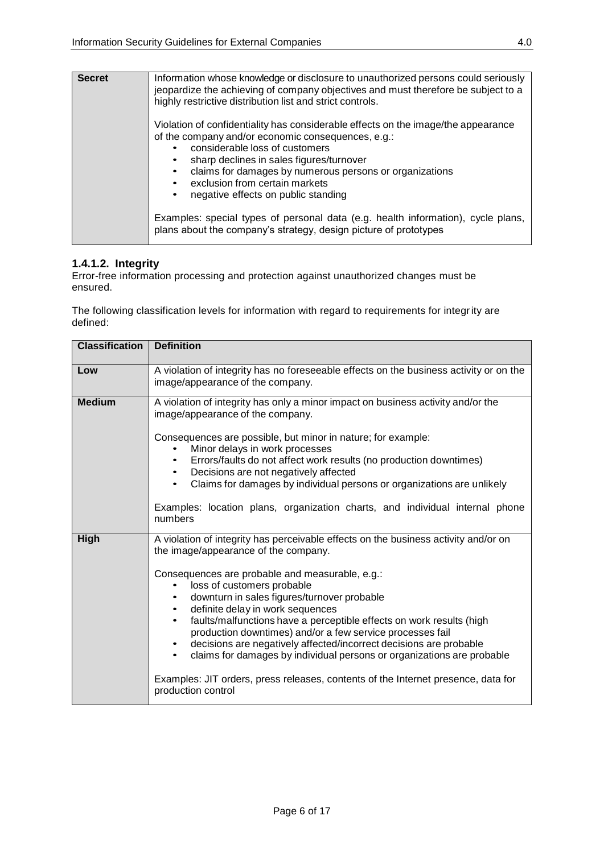| <b>Secret</b> | Information whose knowledge or disclosure to unauthorized persons could seriously<br>jeopardize the achieving of company objectives and must therefore be subject to a<br>highly restrictive distribution list and strict controls.                                                                                                                       |
|---------------|-----------------------------------------------------------------------------------------------------------------------------------------------------------------------------------------------------------------------------------------------------------------------------------------------------------------------------------------------------------|
|               | Violation of confidentiality has considerable effects on the image/the appearance<br>of the company and/or economic consequences, e.g.:<br>considerable loss of customers<br>sharp declines in sales figures/turnover<br>claims for damages by numerous persons or organizations<br>exclusion from certain markets<br>negative effects on public standing |
|               | Examples: special types of personal data (e.g. health information), cycle plans,<br>plans about the company's strategy, design picture of prototypes                                                                                                                                                                                                      |

## <span id="page-5-0"></span>**1.4.1.2. Integrity**

Error-free information processing and protection against unauthorized changes must be ensured.

The following classification levels for information with regard to requirements for integrity are defined:

| <b>Classification</b> | <b>Definition</b>                                                                                                                                                                                                                                                                                                                                                                                                                                                                                                                                                                                                                                                                               |
|-----------------------|-------------------------------------------------------------------------------------------------------------------------------------------------------------------------------------------------------------------------------------------------------------------------------------------------------------------------------------------------------------------------------------------------------------------------------------------------------------------------------------------------------------------------------------------------------------------------------------------------------------------------------------------------------------------------------------------------|
| Low                   | A violation of integrity has no foreseeable effects on the business activity or on the<br>image/appearance of the company.                                                                                                                                                                                                                                                                                                                                                                                                                                                                                                                                                                      |
| <b>Medium</b>         | A violation of integrity has only a minor impact on business activity and/or the<br>image/appearance of the company.<br>Consequences are possible, but minor in nature; for example:<br>Minor delays in work processes<br>Errors/faults do not affect work results (no production downtimes)<br>Decisions are not negatively affected<br>Claims for damages by individual persons or organizations are unlikely<br>$\bullet$<br>Examples: location plans, organization charts, and individual internal phone<br>numbers                                                                                                                                                                         |
| High                  | A violation of integrity has perceivable effects on the business activity and/or on<br>the image/appearance of the company.<br>Consequences are probable and measurable, e.g.:<br>loss of customers probable<br>downturn in sales figures/turnover probable<br>definite delay in work sequences<br>faults/malfunctions have a perceptible effects on work results (high<br>production downtimes) and/or a few service processes fail<br>decisions are negatively affected/incorrect decisions are probable<br>claims for damages by individual persons or organizations are probable<br>Examples: JIT orders, press releases, contents of the Internet presence, data for<br>production control |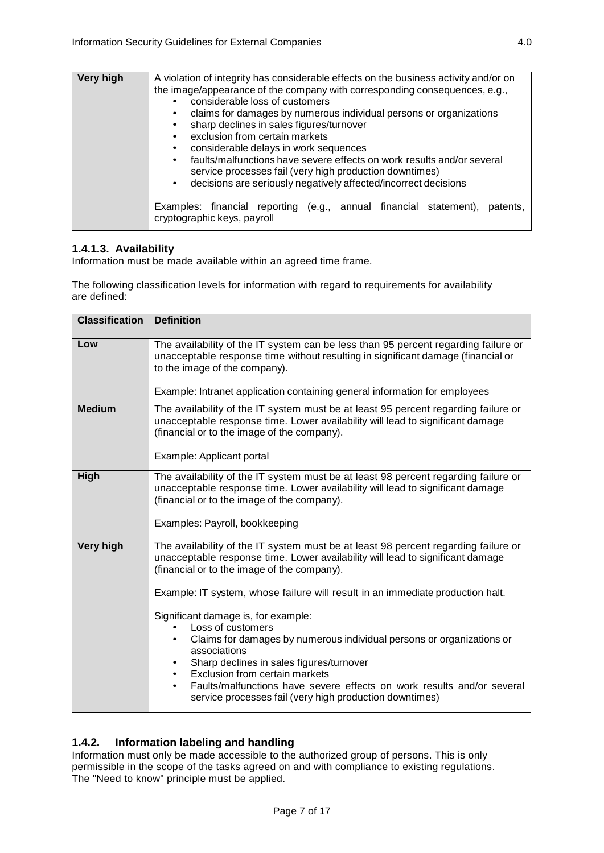| Very high | A violation of integrity has considerable effects on the business activity and/or on<br>the image/appearance of the company with corresponding consequences, e.g.,<br>considerable loss of customers<br>claims for damages by numerous individual persons or organizations<br>sharp declines in sales figures/turnover<br>exclusion from certain markets<br>considerable delays in work sequences<br>faults/malfunctions have severe effects on work results and/or several<br>service processes fail (very high production downtimes)<br>decisions are seriously negatively affected/incorrect decisions<br>$\bullet$ |
|-----------|------------------------------------------------------------------------------------------------------------------------------------------------------------------------------------------------------------------------------------------------------------------------------------------------------------------------------------------------------------------------------------------------------------------------------------------------------------------------------------------------------------------------------------------------------------------------------------------------------------------------|
|           | Examples: financial reporting (e.g., annual financial statement),<br>patents.<br>cryptographic keys, payroll                                                                                                                                                                                                                                                                                                                                                                                                                                                                                                           |

## <span id="page-6-0"></span>**1.4.1.3. Availability**

Information must be made available within an agreed time frame.

The following classification levels for information with regard to requirements for availability are defined:

| <b>Classification</b> | <b>Definition</b>                                                                                                                                                                                                                                                                                                                                                                                                                                                                                                                                                                                                                                                                               |  |  |  |
|-----------------------|-------------------------------------------------------------------------------------------------------------------------------------------------------------------------------------------------------------------------------------------------------------------------------------------------------------------------------------------------------------------------------------------------------------------------------------------------------------------------------------------------------------------------------------------------------------------------------------------------------------------------------------------------------------------------------------------------|--|--|--|
| Low                   | The availability of the IT system can be less than 95 percent regarding failure or<br>unacceptable response time without resulting in significant damage (financial or<br>to the image of the company).<br>Example: Intranet application containing general information for employees                                                                                                                                                                                                                                                                                                                                                                                                           |  |  |  |
| <b>Medium</b>         | The availability of the IT system must be at least 95 percent regarding failure or<br>unacceptable response time. Lower availability will lead to significant damage<br>(financial or to the image of the company).<br>Example: Applicant portal                                                                                                                                                                                                                                                                                                                                                                                                                                                |  |  |  |
| High                  | The availability of the IT system must be at least 98 percent regarding failure or<br>unacceptable response time. Lower availability will lead to significant damage<br>(financial or to the image of the company).<br>Examples: Payroll, bookkeeping                                                                                                                                                                                                                                                                                                                                                                                                                                           |  |  |  |
| <b>Very high</b>      | The availability of the IT system must be at least 98 percent regarding failure or<br>unacceptable response time. Lower availability will lead to significant damage<br>(financial or to the image of the company).<br>Example: IT system, whose failure will result in an immediate production halt.<br>Significant damage is, for example:<br>Loss of customers<br>Claims for damages by numerous individual persons or organizations or<br>associations<br>Sharp declines in sales figures/turnover<br>Exclusion from certain markets<br>$\bullet$<br>Faults/malfunctions have severe effects on work results and/or several<br>٠<br>service processes fail (very high production downtimes) |  |  |  |

## <span id="page-6-1"></span>**1.4.2. Information labeling and handling**

Information must only be made accessible to the authorized group of persons. This is only permissible in the scope of the tasks agreed on and with compliance to existing regulations. The "Need to know" principle must be applied.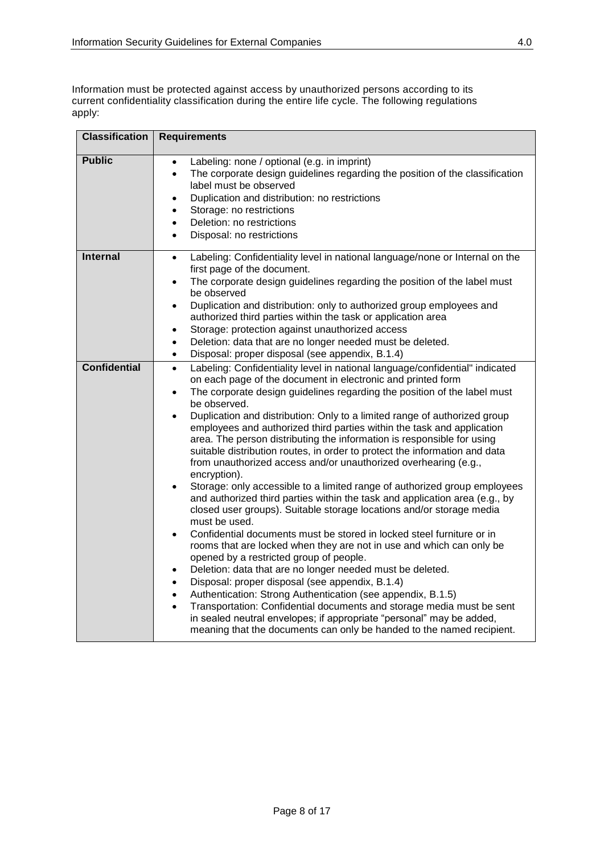Information must be protected against access by unauthorized persons according to its current confidentiality classification during the entire life cycle. The following regulations apply:

| <b>Classification</b> | <b>Requirements</b>                                                                                                                                                                                                                                                                                                                                                                                                                                                                                                                                                                                                                                                                                                                                                                                                                                                                                                                                                                                                                                                                                                                                                                                                                                                                                                                                                                                                                                                                                                                                                                                              |
|-----------------------|------------------------------------------------------------------------------------------------------------------------------------------------------------------------------------------------------------------------------------------------------------------------------------------------------------------------------------------------------------------------------------------------------------------------------------------------------------------------------------------------------------------------------------------------------------------------------------------------------------------------------------------------------------------------------------------------------------------------------------------------------------------------------------------------------------------------------------------------------------------------------------------------------------------------------------------------------------------------------------------------------------------------------------------------------------------------------------------------------------------------------------------------------------------------------------------------------------------------------------------------------------------------------------------------------------------------------------------------------------------------------------------------------------------------------------------------------------------------------------------------------------------------------------------------------------------------------------------------------------------|
| <b>Public</b>         | Labeling: none / optional (e.g. in imprint)<br>$\bullet$<br>The corporate design guidelines regarding the position of the classification<br>$\bullet$<br>label must be observed<br>Duplication and distribution: no restrictions<br>$\bullet$<br>Storage: no restrictions<br>$\bullet$<br>Deletion: no restrictions<br>$\bullet$<br>Disposal: no restrictions<br>$\bullet$                                                                                                                                                                                                                                                                                                                                                                                                                                                                                                                                                                                                                                                                                                                                                                                                                                                                                                                                                                                                                                                                                                                                                                                                                                       |
| <b>Internal</b>       | Labeling: Confidentiality level in national language/none or Internal on the<br>$\bullet$<br>first page of the document.<br>The corporate design guidelines regarding the position of the label must<br>$\bullet$<br>be observed<br>Duplication and distribution: only to authorized group employees and<br>$\bullet$<br>authorized third parties within the task or application area<br>Storage: protection against unauthorized access<br>$\bullet$<br>Deletion: data that are no longer needed must be deleted.<br>$\bullet$<br>Disposal: proper disposal (see appendix, B.1.4)<br>$\bullet$                                                                                                                                                                                                                                                                                                                                                                                                                                                                                                                                                                                                                                                                                                                                                                                                                                                                                                                                                                                                                  |
| <b>Confidential</b>   | Labeling: Confidentiality level in national language/confidential" indicated<br>$\bullet$<br>on each page of the document in electronic and printed form<br>The corporate design guidelines regarding the position of the label must<br>$\bullet$<br>be observed.<br>Duplication and distribution: Only to a limited range of authorized group<br>$\bullet$<br>employees and authorized third parties within the task and application<br>area. The person distributing the information is responsible for using<br>suitable distribution routes, in order to protect the information and data<br>from unauthorized access and/or unauthorized overhearing (e.g.,<br>encryption).<br>Storage: only accessible to a limited range of authorized group employees<br>$\bullet$<br>and authorized third parties within the task and application area (e.g., by<br>closed user groups). Suitable storage locations and/or storage media<br>must be used.<br>Confidential documents must be stored in locked steel furniture or in<br>$\bullet$<br>rooms that are locked when they are not in use and which can only be<br>opened by a restricted group of people.<br>Deletion: data that are no longer needed must be deleted.<br>$\bullet$<br>Disposal: proper disposal (see appendix, B.1.4)<br>٠<br>Authentication: Strong Authentication (see appendix, B.1.5)<br>$\bullet$<br>Transportation: Confidential documents and storage media must be sent<br>$\bullet$<br>in sealed neutral envelopes; if appropriate "personal" may be added,<br>meaning that the documents can only be handed to the named recipient. |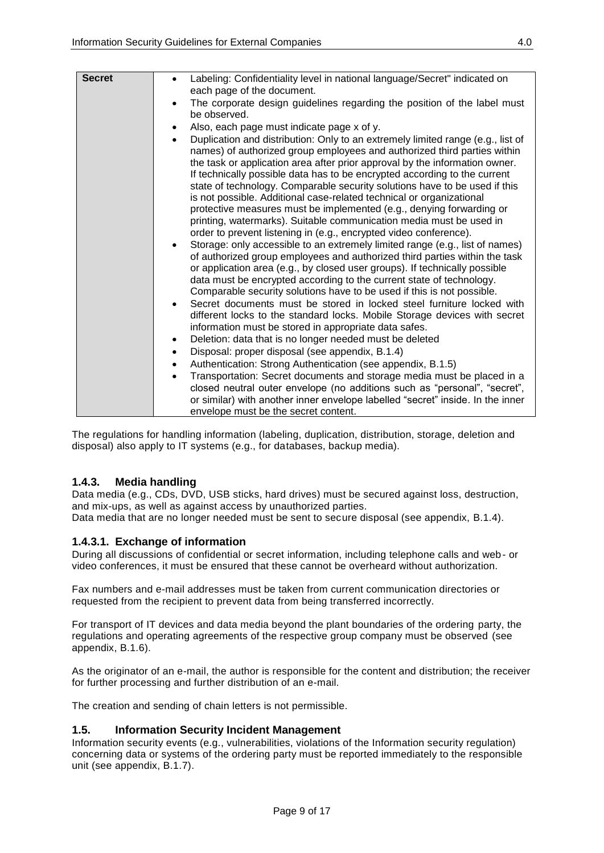| <b>Secret</b> | Labeling: Confidentiality level in national language/Secret" indicated on<br>٠<br>each page of the document.                                                                                                                                                                                                                                                                                                                                                                                                                                                                                                                                                                                                                                                                                                                                                                                                                                                                                                                                                                                                              |
|---------------|---------------------------------------------------------------------------------------------------------------------------------------------------------------------------------------------------------------------------------------------------------------------------------------------------------------------------------------------------------------------------------------------------------------------------------------------------------------------------------------------------------------------------------------------------------------------------------------------------------------------------------------------------------------------------------------------------------------------------------------------------------------------------------------------------------------------------------------------------------------------------------------------------------------------------------------------------------------------------------------------------------------------------------------------------------------------------------------------------------------------------|
|               | The corporate design guidelines regarding the position of the label must<br>$\bullet$<br>be observed.                                                                                                                                                                                                                                                                                                                                                                                                                                                                                                                                                                                                                                                                                                                                                                                                                                                                                                                                                                                                                     |
|               | Also, each page must indicate page x of y.<br>$\bullet$                                                                                                                                                                                                                                                                                                                                                                                                                                                                                                                                                                                                                                                                                                                                                                                                                                                                                                                                                                                                                                                                   |
|               | Duplication and distribution: Only to an extremely limited range (e.g., list of<br>$\bullet$<br>names) of authorized group employees and authorized third parties within<br>the task or application area after prior approval by the information owner.<br>If technically possible data has to be encrypted according to the current<br>state of technology. Comparable security solutions have to be used if this<br>is not possible. Additional case-related technical or organizational<br>protective measures must be implemented (e.g., denying forwarding or<br>printing, watermarks). Suitable communication media must be used in<br>order to prevent listening in (e.g., encrypted video conference).<br>Storage: only accessible to an extremely limited range (e.g., list of names)<br>$\bullet$<br>of authorized group employees and authorized third parties within the task<br>or application area (e.g., by closed user groups). If technically possible<br>data must be encrypted according to the current state of technology.<br>Comparable security solutions have to be used if this is not possible. |
|               | Secret documents must be stored in locked steel furniture locked with<br>different locks to the standard locks. Mobile Storage devices with secret<br>information must be stored in appropriate data safes.                                                                                                                                                                                                                                                                                                                                                                                                                                                                                                                                                                                                                                                                                                                                                                                                                                                                                                               |
|               | Deletion: data that is no longer needed must be deleted<br>$\bullet$                                                                                                                                                                                                                                                                                                                                                                                                                                                                                                                                                                                                                                                                                                                                                                                                                                                                                                                                                                                                                                                      |
|               | Disposal: proper disposal (see appendix, B.1.4)<br>$\bullet$                                                                                                                                                                                                                                                                                                                                                                                                                                                                                                                                                                                                                                                                                                                                                                                                                                                                                                                                                                                                                                                              |
|               | Authentication: Strong Authentication (see appendix, B.1.5)<br>$\bullet$                                                                                                                                                                                                                                                                                                                                                                                                                                                                                                                                                                                                                                                                                                                                                                                                                                                                                                                                                                                                                                                  |
|               | Transportation: Secret documents and storage media must be placed in a<br>$\bullet$                                                                                                                                                                                                                                                                                                                                                                                                                                                                                                                                                                                                                                                                                                                                                                                                                                                                                                                                                                                                                                       |
|               | closed neutral outer envelope (no additions such as "personal", "secret",                                                                                                                                                                                                                                                                                                                                                                                                                                                                                                                                                                                                                                                                                                                                                                                                                                                                                                                                                                                                                                                 |
|               | or similar) with another inner envelope labelled "secret" inside. In the inner<br>envelope must be the secret content.                                                                                                                                                                                                                                                                                                                                                                                                                                                                                                                                                                                                                                                                                                                                                                                                                                                                                                                                                                                                    |

The regulations for handling information (labeling, duplication, distribution, storage, deletion and disposal) also apply to IT systems (e.g., for databases, backup media).

## <span id="page-8-0"></span>**1.4.3. Media handling**

Data media (e.g., CDs, DVD, USB sticks, hard drives) must be secured against loss, destruction, and mix-ups, as well as against access by unauthorized parties. Data media that are no longer needed must be sent to secure disposal (see appendix, B.1.4).

## <span id="page-8-1"></span>**1.4.3.1. Exchange of information**

During all discussions of confidential or secret information, including telephone calls and web- or video conferences, it must be ensured that these cannot be overheard without authorization.

Fax numbers and e-mail addresses must be taken from current communication directories or requested from the recipient to prevent data from being transferred incorrectly.

For transport of IT devices and data media beyond the plant boundaries of the ordering party, the regulations and operating agreements of the respective group company must be observed (see appendix, B.1.6).

As the originator of an e-mail, the author is responsible for the content and distribution; the receiver for further processing and further distribution of an e-mail.

<span id="page-8-2"></span>The creation and sending of chain letters is not permissible.

#### **1.5. Information Security Incident Management**

Information security events (e.g., vulnerabilities, violations of the Information security regulation) concerning data or systems of the ordering party must be reported immediately to the responsible unit (see appendix, B.1.7).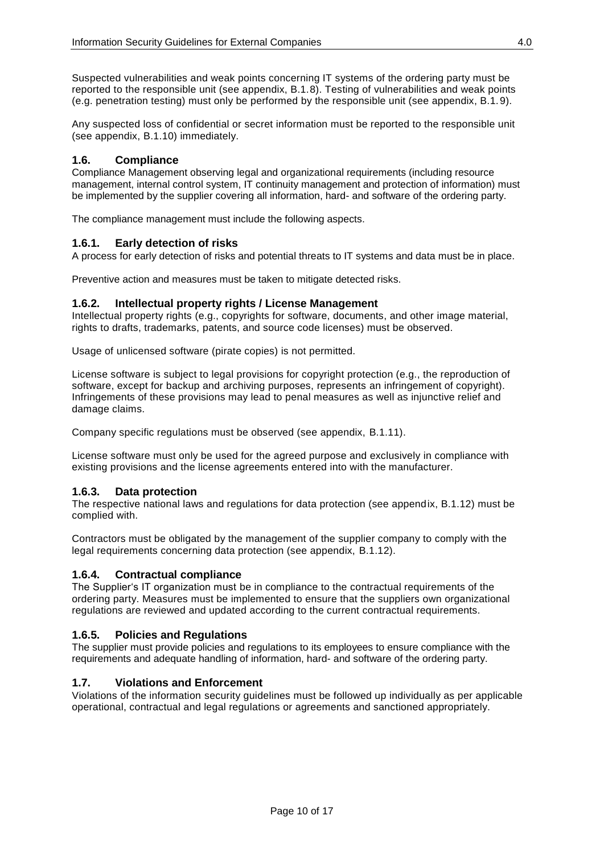Suspected vulnerabilities and weak points concerning IT systems of the ordering party must be reported to the responsible unit (see appendix, B.1.8). Testing of vulnerabilities and weak points (e.g. penetration testing) must only be performed by the responsible unit (see appendix, B.1. 9).

Any suspected loss of confidential or secret information must be reported to the responsible unit (see appendix, B.1.10) immediately.

## <span id="page-9-0"></span>**1.6. Compliance**

Compliance Management observing legal and organizational requirements (including resource management, internal control system, IT continuity management and protection of information) must be implemented by the supplier covering all information, hard- and software of the ordering party.

The compliance management must include the following aspects.

## <span id="page-9-1"></span>**1.6.1. Early detection of risks**

A process for early detection of risks and potential threats to IT systems and data must be in place.

Preventive action and measures must be taken to mitigate detected risks.

## <span id="page-9-2"></span>**1.6.2. Intellectual property rights / License Management**

Intellectual property rights (e.g., copyrights for software, documents, and other image material, rights to drafts, trademarks, patents, and source code licenses) must be observed.

Usage of unlicensed software (pirate copies) is not permitted.

License software is subject to legal provisions for copyright protection (e.g., the reproduction of software, except for backup and archiving purposes, represents an infringement of copyright). Infringements of these provisions may lead to penal measures as well as injunctive relief and damage claims.

Company specific regulations must be observed (see appendix, B.1.11).

License software must only be used for the agreed purpose and exclusively in compliance with existing provisions and the license agreements entered into with the manufacturer.

## <span id="page-9-3"></span>**1.6.3. Data protection**

The respective national laws and regulations for data protection (see appendix, B.1.12) must be complied with.

Contractors must be obligated by the management of the supplier company to comply with the legal requirements concerning data protection (see appendix, B.1.12).

## <span id="page-9-4"></span>**1.6.4. Contractual compliance**

The Supplier's IT organization must be in compliance to the contractual requirements of the ordering party. Measures must be implemented to ensure that the suppliers own organizational regulations are reviewed and updated according to the current contractual requirements.

## <span id="page-9-5"></span>**1.6.5. Policies and Regulations**

The supplier must provide policies and regulations to its employees to ensure compliance with the requirements and adequate handling of information, hard- and software of the ordering party.

## <span id="page-9-6"></span>**1.7. Violations and Enforcement**

Violations of the information security guidelines must be followed up individually as per applicable operational, contractual and legal regulations or agreements and sanctioned appropriately.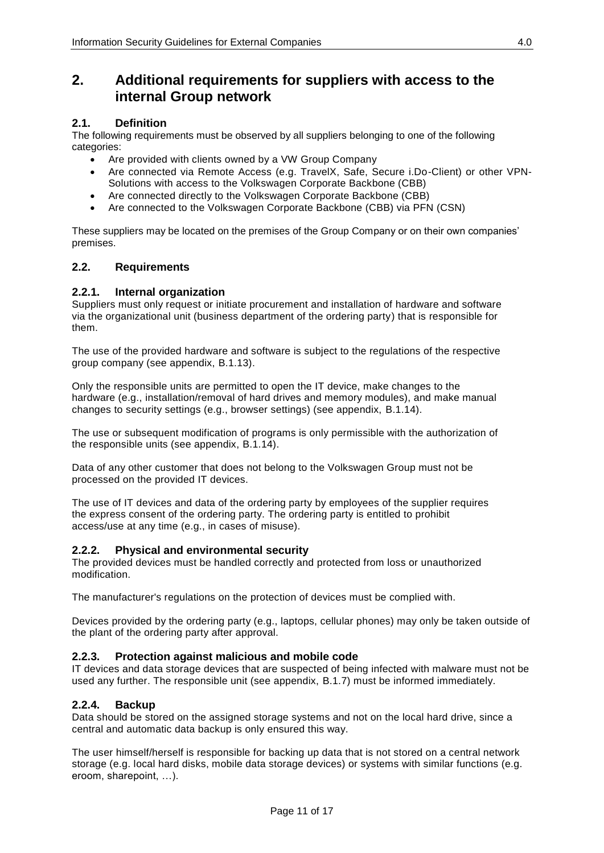## <span id="page-10-0"></span>**2. Additional requirements for suppliers with access to the internal Group network**

## <span id="page-10-1"></span>**2.1. Definition**

The following requirements must be observed by all suppliers belonging to one of the following categories:

- Are provided with clients owned by a VW Group Company
- Are connected via Remote Access (e.g. TravelX, Safe, Secure i.Do-Client) or other VPN-Solutions with access to the Volkswagen Corporate Backbone (CBB)
- Are connected directly to the Volkswagen Corporate Backbone (CBB)
- Are connected to the Volkswagen Corporate Backbone (CBB) via PFN (CSN)

These suppliers may be located on the premises of the Group Company or on their own companies' premises.

#### <span id="page-10-2"></span>**2.2. Requirements**

#### <span id="page-10-3"></span>**2.2.1. Internal organization**

Suppliers must only request or initiate procurement and installation of hardware and software via the organizational unit (business department of the ordering party) that is responsible for them.

The use of the provided hardware and software is subject to the regulations of the respective group company (see appendix, B.1.13).

Only the responsible units are permitted to open the IT device, make changes to the hardware (e.g., installation/removal of hard drives and memory modules), and make manual changes to security settings (e.g., browser settings) (see appendix, B.1.14).

The use or subsequent modification of programs is only permissible with the authorization of the responsible units (see appendix, B.1.14).

Data of any other customer that does not belong to the Volkswagen Group must not be processed on the provided IT devices.

The use of IT devices and data of the ordering party by employees of the supplier requires the express consent of the ordering party. The ordering party is entitled to prohibit access/use at any time (e.g., in cases of misuse).

#### <span id="page-10-4"></span>**2.2.2. Physical and environmental security**

The provided devices must be handled correctly and protected from loss or unauthorized modification.

The manufacturer's regulations on the protection of devices must be complied with.

Devices provided by the ordering party (e.g., laptops, cellular phones) may only be taken outside of the plant of the ordering party after approval.

#### <span id="page-10-5"></span>**2.2.3. Protection against malicious and mobile code**

IT devices and data storage devices that are suspected of being infected with malware must not be used any further. The responsible unit (see appendix, B.1.7) must be informed immediately.

#### <span id="page-10-6"></span>**2.2.4. Backup**

Data should be stored on the assigned storage systems and not on the local hard drive, since a central and automatic data backup is only ensured this way.

The user himself/herself is responsible for backing up data that is not stored on a central network storage (e.g. local hard disks, mobile data storage devices) or systems with similar functions (e.g. eroom, sharepoint, …).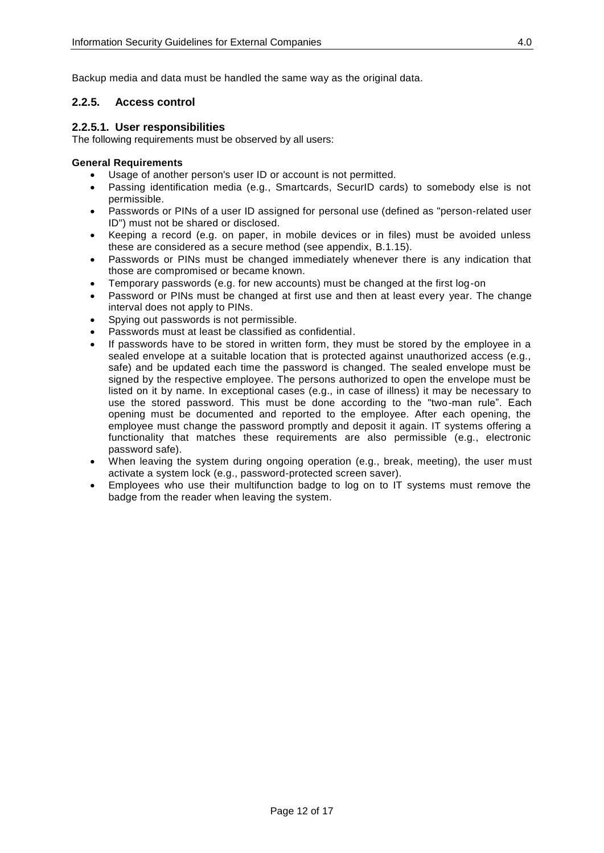Backup media and data must be handled the same way as the original data.

### <span id="page-11-0"></span>**2.2.5. Access control**

#### <span id="page-11-1"></span>**2.2.5.1. User responsibilities**

The following requirements must be observed by all users:

#### **General Requirements**

- Usage of another person's user ID or account is not permitted.
- Passing identification media (e.g., Smartcards, SecurID cards) to somebody else is not permissible.
- Passwords or PINs of a user ID assigned for personal use (defined as "person-related user ID") must not be shared or disclosed.
- Keeping a record (e.g. on paper, in mobile devices or in files) must be avoided unless these are considered as a secure method (see appendix, B.1.15).
- Passwords or PINs must be changed immediately whenever there is any indication that those are compromised or became known.
- Temporary passwords (e.g. for new accounts) must be changed at the first log-on
- Password or PINs must be changed at first use and then at least every year. The change interval does not apply to PINs.
- Spying out passwords is not permissible.
- Passwords must at least be classified as confidential.
- If passwords have to be stored in written form, they must be stored by the employee in a sealed envelope at a suitable location that is protected against unauthorized access (e.g., safe) and be updated each time the password is changed. The sealed envelope must be signed by the respective employee. The persons authorized to open the envelope must be listed on it by name. In exceptional cases (e.g., in case of illness) it may be necessary to use the stored password. This must be done according to the "two-man rule". Each opening must be documented and reported to the employee. After each opening, the employee must change the password promptly and deposit it again. IT systems offering a functionality that matches these requirements are also permissible (e.g., electronic password safe).
- When leaving the system during ongoing operation (e.g., break, meeting), the user must activate a system lock (e.g., password-protected screen saver).
- Employees who use their multifunction badge to log on to IT systems must remove the badge from the reader when leaving the system.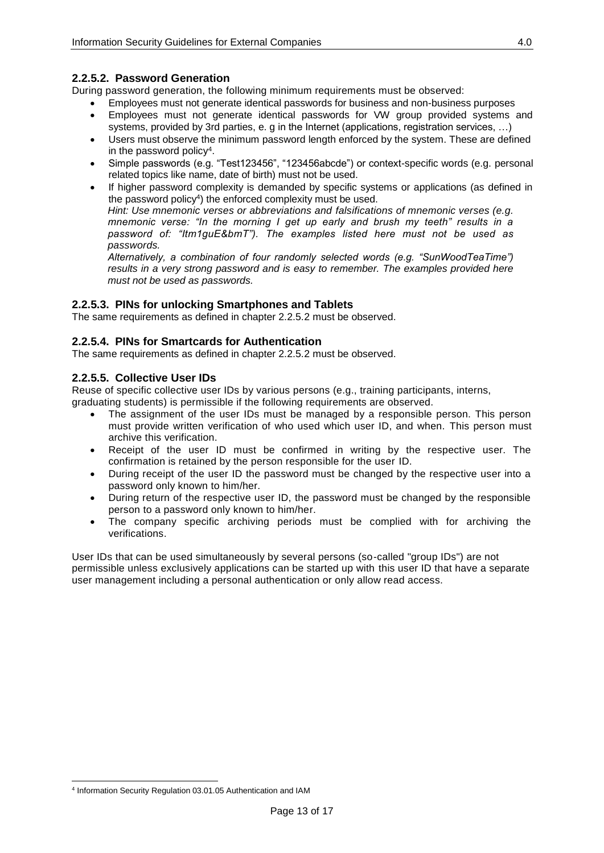## <span id="page-12-0"></span>**2.2.5.2. Password Generation**

During password generation, the following minimum requirements must be observed:

- Employees must not generate identical passwords for business and non-business purposes
- Employees must not generate identical passwords for VW group provided systems and systems, provided by 3rd parties, e. g in the Internet (applications, registration services, …)
- Users must observe the minimum password length enforced by the system. These are defined in the password policy<sup>4</sup>.
- Simple passwords (e.g. "Test123456", "123456abcde") or context-specific words (e.g. personal related topics like name, date of birth) must not be used.
- If higher password complexity is demanded by specific systems or applications (as defined in the password policy<sup>4</sup>) the enforced complexity must be used. *Hint: Use mnemonic verses or abbreviations and [falsifications](http://dict.tu-chemnitz.de/english-german/falsification.html) of mnemonic verses (e.g. mnemonic verse: "In the morning I get up early and brush my teeth" results in a password of: "Itm1guE&bmT"). The examples listed here must not be used as passwords.*

*Alternatively, a combination of four randomly selected words (e.g. "SunWoodTeaTime") results in a very strong password and is easy to remember. The examples provided here must not be used as passwords.*

#### <span id="page-12-1"></span>**2.2.5.3. PINs for unlocking Smartphones and Tablets**

<span id="page-12-2"></span>The same requirements as defined in chapter 2.2.5.2 must be observed.

#### **2.2.5.4. PINs for Smartcards for Authentication**

<span id="page-12-3"></span>The same requirements as defined in chapter 2.2.5.2 must be observed.

#### **2.2.5.5. Collective User IDs**

Reuse of specific collective user IDs by various persons (e.g., training participants, interns, graduating students) is permissible if the following requirements are observed.

- The assignment of the user IDs must be managed by a responsible person. This person must provide written verification of who used which user ID, and when. This person must archive this verification.
- Receipt of the user ID must be confirmed in writing by the respective user. The confirmation is retained by the person responsible for the user ID.
- During receipt of the user ID the password must be changed by the respective user into a password only known to him/her.
- During return of the respective user ID, the password must be changed by the responsible person to a password only known to him/her.
- The company specific archiving periods must be complied with for archiving the verifications.

User IDs that can be used simultaneously by several persons (so-called "group IDs") are not permissible unless exclusively applications can be started up with this user ID that have a separate user management including a personal authentication or only allow read access.

 $\overline{a}$ 4 Information Security Regulation 03.01.05 Authentication and IAM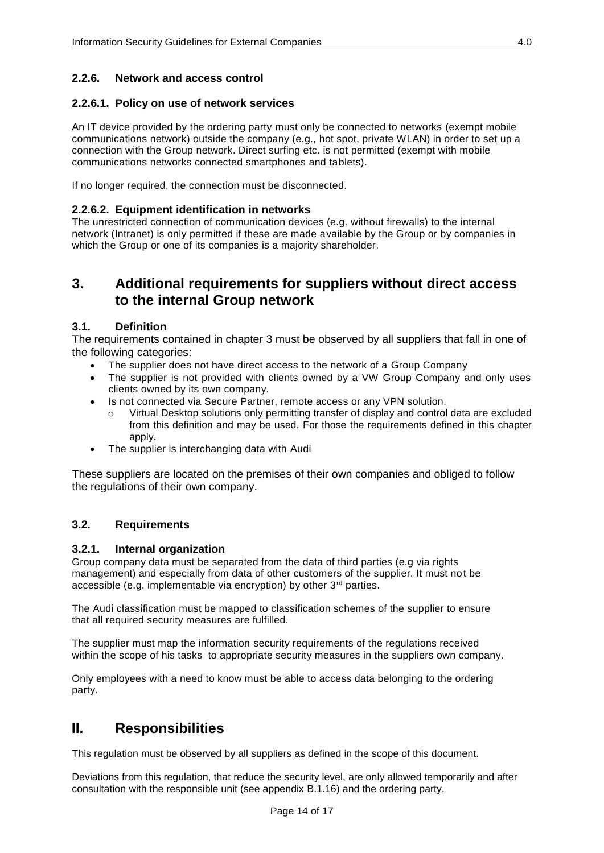## <span id="page-13-0"></span>**2.2.6. Network and access control**

### <span id="page-13-1"></span>**2.2.6.1. Policy on use of network services**

An IT device provided by the ordering party must only be connected to networks (exempt mobile communications network) outside the company (e.g., hot spot, private WLAN) in order to set up a connection with the Group network. Direct surfing etc. is not permitted (exempt with mobile communications networks connected smartphones and tablets).

<span id="page-13-2"></span>If no longer required, the connection must be disconnected.

#### **2.2.6.2. Equipment identification in networks**

The unrestricted connection of communication devices (e.g. without firewalls) to the internal network (Intranet) is only permitted if these are made available by the Group or by companies in which the Group or one of its companies is a majority shareholder.

## <span id="page-13-3"></span>**3. Additional requirements for suppliers without direct access to the internal Group network**

#### <span id="page-13-4"></span>**3.1. Definition**

The requirements contained in chapter [3](#page-13-3) must be observed by all suppliers that fall in one of the following categories:

- The supplier does not have direct access to the network of a Group Company
- The supplier is not provided with clients owned by a VW Group Company and only uses clients owned by its own company.
- Is not connected via Secure Partner, remote access or any VPN solution.
	- o Virtual Desktop solutions only permitting transfer of display and control data are excluded from this definition and may be used. For those the requirements defined in this chapter apply.
- The supplier is interchanging data with Audi

These suppliers are located on the premises of their own companies and obliged to follow the regulations of their own company.

## <span id="page-13-5"></span>**3.2. Requirements**

## <span id="page-13-6"></span>**3.2.1. Internal organization**

Group company data must be separated from the data of third parties (e.g via rights management) and especially from data of other customers of the supplier. It must not be accessible (e.g. implementable via encryption) by other 3rd parties.

The Audi classification must be mapped to classification schemes of the supplier to ensure that all required security measures are fulfilled.

The supplier must map the information security requirements of the regulations received within the scope of his tasks to appropriate security measures in the suppliers own company.

<span id="page-13-7"></span>Only employees with a need to know must be able to access data belonging to the ordering party.

# **II. Responsibilities**

This regulation must be observed by all suppliers as defined in the scope of this document.

Deviations from this regulation, that reduce the security level, are only allowed temporarily and after consultation with the responsible unit (see appendix B.1.16) and the ordering party.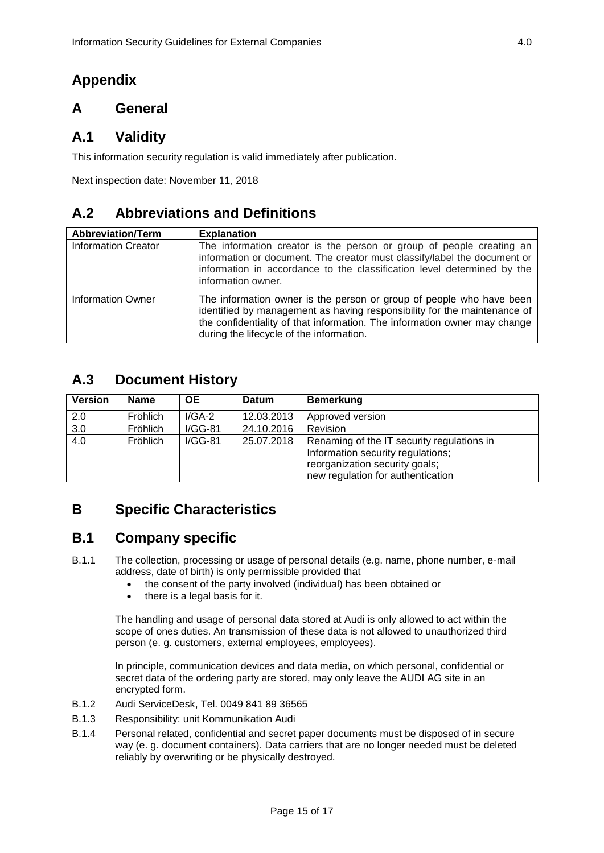# <span id="page-14-0"></span>**Appendix**

# <span id="page-14-1"></span>**A General**

# <span id="page-14-2"></span>**A.1 Validity**

This information security regulation is valid immediately after publication.

Next inspection date: November 11, 2018

# <span id="page-14-3"></span>**A.2 Abbreviations and Definitions**

| <b>Abbreviation/Term</b>   | <b>Explanation</b>                                                                                                                                                                                                                                                        |
|----------------------------|---------------------------------------------------------------------------------------------------------------------------------------------------------------------------------------------------------------------------------------------------------------------------|
| <b>Information Creator</b> | The information creator is the person or group of people creating an<br>information or document. The creator must classify/label the document or<br>information in accordance to the classification level determined by the<br>information owner.                         |
| <b>Information Owner</b>   | The information owner is the person or group of people who have been<br>identified by management as having responsibility for the maintenance of<br>the confidentiality of that information. The information owner may change<br>during the lifecycle of the information. |

# <span id="page-14-4"></span>**A.3 Document History**

| <b>Version</b>   | <b>Name</b>     | OE.       | <b>Datum</b> | <b>Bemerkung</b>                                                                                                                                       |
|------------------|-----------------|-----------|--------------|--------------------------------------------------------------------------------------------------------------------------------------------------------|
| 2.0              | Fröhlich        | $I/GA-2$  | 12.03.2013   | Approved version                                                                                                                                       |
| 3.0              | Fröhlich        | $I/GG-81$ | 24.10.2016   | Revision                                                                                                                                               |
| $\overline{4.0}$ | <b>Fröhlich</b> | $I/GG-81$ | 25.07.2018   | Renaming of the IT security regulations in<br>Information security regulations;<br>reorganization security goals;<br>new regulation for authentication |

# <span id="page-14-5"></span>**B Specific Characteristics**

# <span id="page-14-6"></span>**B.1 Company specific**

- B.1.1 The collection, processing or usage of personal details (e.g. name, phone number, e-mail address, date of birth) is only permissible provided that
	- the consent of the party involved (individual) has been obtained or
	- there is a legal basis for it.

The handling and usage of personal data stored at Audi is only allowed to act within the scope of ones duties. An transmission of these data is not allowed to unauthorized third person (e. g. customers, external employees, employees).

In principle, communication devices and data media, on which personal, confidential or secret data of the ordering party are stored, may only leave the AUDI AG site in an encrypted form.

- B.1.2 Audi ServiceDesk, Tel. 0049 841 89 36565
- B.1.3 Responsibility: unit Kommunikation Audi
- B.1.4 Personal related, confidential and secret paper documents must be disposed of in secure way (e. g. document containers). Data carriers that are no longer needed must be deleted reliably by overwriting or be physically destroyed.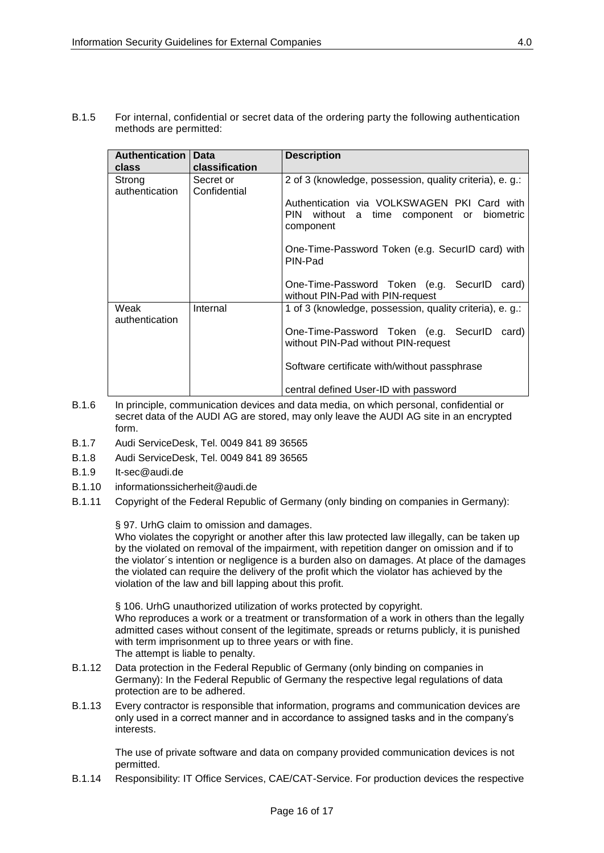B.1.5 For internal, confidential or secret data of the ordering party the following authentication methods are permitted:

| <b>Authentication</b><br>class | Data<br>classification    | <b>Description</b>                                                                                          |
|--------------------------------|---------------------------|-------------------------------------------------------------------------------------------------------------|
| Strong<br>authentication       | Secret or<br>Confidential | 2 of 3 (knowledge, possession, quality criteria), e. g.:                                                    |
|                                |                           | Authentication via VOLKSWAGEN PKI Card with<br>PIN<br>without a time component or<br>biometric<br>component |
|                                |                           | One-Time-Password Token (e.g. SecurID card) with<br>PIN-Pad                                                 |
|                                |                           | One-Time-Password Token (e.g. SecurID<br>card)<br>without PIN-Pad with PIN-request                          |
| Weak<br>authentication         | Internal                  | 1 of 3 (knowledge, possession, quality criteria), e. g.:                                                    |
|                                |                           | One-Time-Password Token (e.g. SecurlD<br>card)<br>without PIN-Pad without PIN-request                       |
|                                |                           | Software certificate with/without passphrase                                                                |
|                                |                           | central defined User-ID with password                                                                       |

- B.1.6 In principle, communication devices and data media, on which personal, confidential or secret data of the AUDI AG are stored, may only leave the AUDI AG site in an encrypted form.
- B.1.7 Audi ServiceDesk, Tel. 0049 841 89 36565
- B.1.8 Audi ServiceDesk, Tel. 0049 841 89 36565
- B.1.9 It-sec@audi.de
- B.1.10 informationssicherheit@audi.de
- B.1.11 Copyright of the Federal Republic of Germany (only binding on companies in Germany):

§ 97. UrhG claim to omission and damages.

Who violates the copyright or another after this law protected law illegally, can be taken up by the violated on removal of the impairment, with repetition danger on omission and if to the violator´s intention or negligence is a burden also on damages. At place of the damages the violated can require the delivery of the profit which the violator has achieved by the violation of the law and bill lapping about this profit.

§ 106. UrhG unauthorized utilization of works protected by copyright. Who reproduces a work or a treatment or transformation of a work in others than the legally admitted cases without consent of the legitimate, spreads or returns publicly, it is punished with term imprisonment up to three years or with fine. The attempt is liable to penalty.

- B.1.12 Data protection in the Federal Republic of Germany (only binding on companies in Germany): In the Federal Republic of Germany the respective legal regulations of data protection are to be adhered.
- B.1.13 Every contractor is responsible that information, programs and communication devices are only used in a correct manner and in accordance to assigned tasks and in the company's interests.

The use of private software and data on company provided communication devices is not permitted.

B.1.14 Responsibility: IT Office Services, CAE/CAT-Service. For production devices the respective